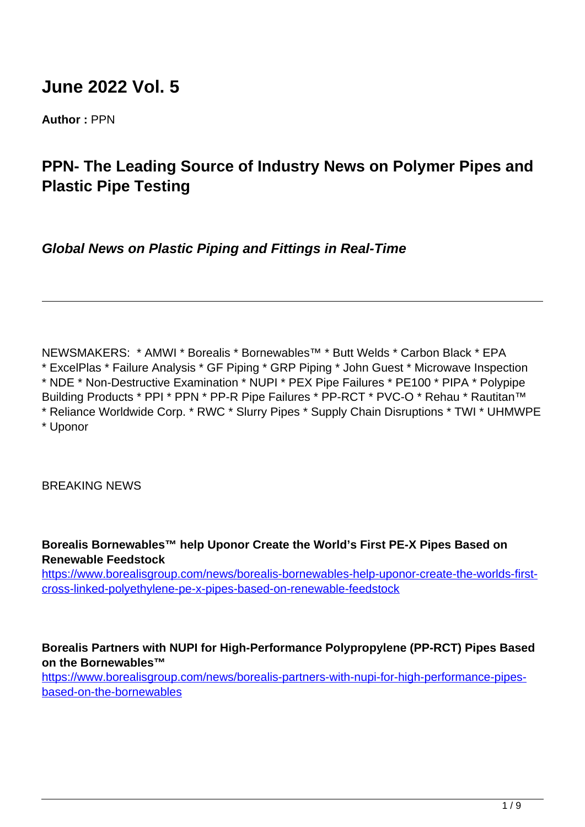# **June 2022 Vol. 5**

**Author :** PPN

# **PPN- The Leading Source of Industry News on Polymer Pipes and Plastic Pipe Testing**

**Global News on Plastic Piping and Fittings in Real-Time**

NEWSMAKERS: \* AMWI \* Borealis \* Bornewables™ \* Butt Welds \* Carbon Black \* EPA \* ExcelPlas \* Failure Analysis \* GF Piping \* GRP Piping \* John Guest \* Microwave Inspection \* NDE \* Non-Destructive Examination \* NUPI \* PEX Pipe Failures \* PE100 \* PIPA \* Polypipe Building Products \* PPI \* PPN \* PP-R Pipe Failures \* PP-RCT \* PVC-O \* Rehau \* Rautitan™ \* Reliance Worldwide Corp. \* RWC \* Slurry Pipes \* Supply Chain Disruptions \* TWI \* UHMWPE \* Uponor

BREAKING NEWS

**Borealis Bornewables™ help Uponor Create the World's First PE-X Pipes Based on Renewable Feedstock**

[https://www.borealisgroup.com/news/borealis-bornewables-help-uponor-create-the-worlds-first](https://www.borealisgroup.com/news/borealis-bornewables-help-uponor-create-the-worlds-first-cross-linked-polyethylene-pe-x-pipes-based-on-renewable-feedstock)[cross-linked-polyethylene-pe-x-pipes-based-on-renewable-feedstock](https://www.borealisgroup.com/news/borealis-bornewables-help-uponor-create-the-worlds-first-cross-linked-polyethylene-pe-x-pipes-based-on-renewable-feedstock)

## **Borealis Partners with NUPI for High-Performance Polypropylene (PP-RCT) Pipes Based on the Bornewables™**

https://www.borealisgroup.com/news/borealis-partners-with-nupi-for-high-performance-pipesbased-on-the-bornewables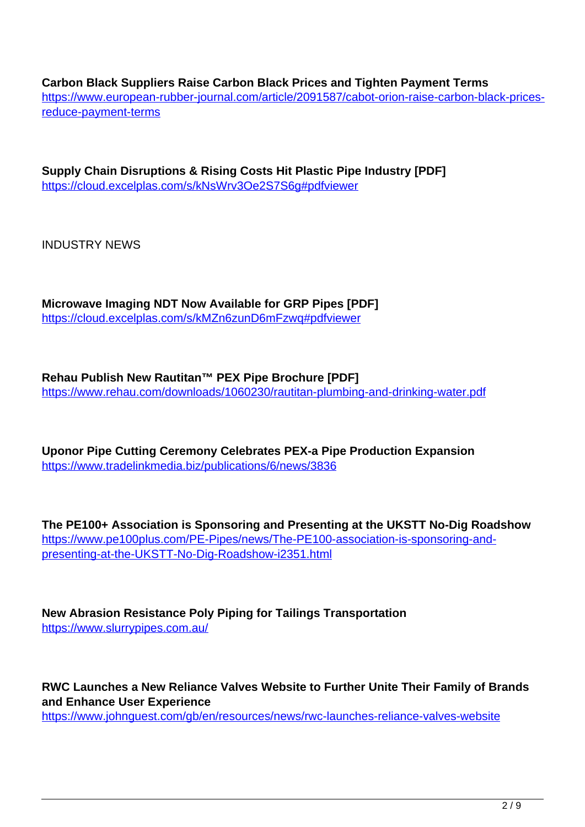**Carbon Black Suppliers Raise Carbon Black Prices and Tighten Payment Terms** https://www.european-rubber-journal.com/article/2091587/cabot-orion-raise-carbon-black-pricesreduce-payment-terms

**Supply Chain Disruptions & Rising Costs Hit Plastic Pipe Industry [PDF]** https://cloud.excelplas.com/s/kNsWrv3Oe2S7S6g#pdfviewer

INDUSTRY NEWS

**Microwave Imaging NDT Now Available for GRP Pipes [PDF]** https://cloud.excelplas.com/s/kMZn6zunD6mFzwq#pdfviewer

**Rehau Publish New Rautitan™ PEX Pipe Brochure [PDF]** https://www.rehau.com/downloads/1060230/rautitan-plumbing-and-drinking-water.pdf

**Uponor Pipe Cutting Ceremony Celebrates PEX-a Pipe Production Expansion** https://www.tradelinkmedia.biz/publications/6/news/3836

**The PE100+ Association is Sponsoring and Presenting at the UKSTT No-Dig Roadshow** https://www.pe100plus.com/PE-Pipes/news/The-PE100-association-is-sponsoring-andpresenting-at-the-UKSTT-No-Dig-Roadshow-i2351.html

**New Abrasion Resistance Poly Piping for Tailings Transportation** https://www.slurrypipes.com.au/

**RWC Launches a New Reliance Valves Website to Further Unite Their Family of Brands and Enhance User Experience**

https://www.johnguest.com/gb/en/resources/news/rwc-launches-reliance-valves-website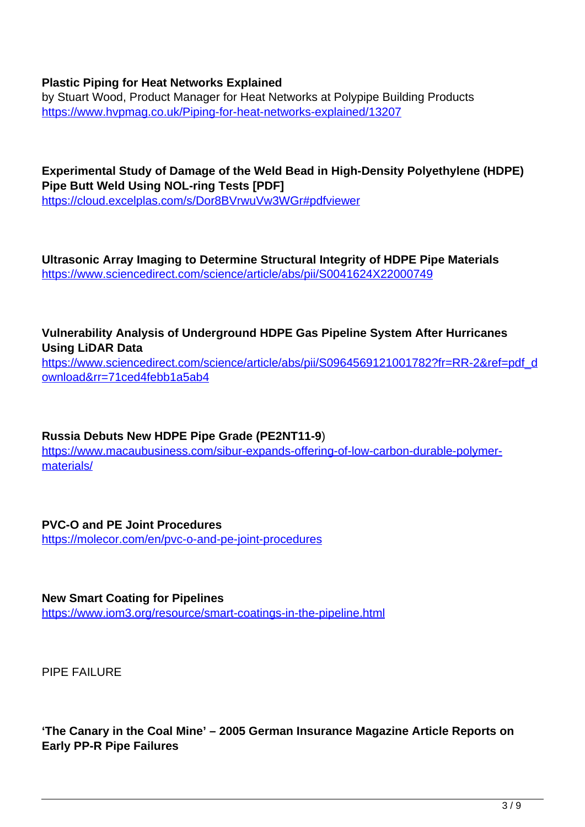#### **Plastic Piping for Heat Networks Explained**

by Stuart Wood, Product Manager for Heat Networks at Polypipe Building Products https://www.hvpmag.co.uk/Piping-for-heat-networks-explained/13207

**Experimental Study of Damage of the Weld Bead in High-Density Polyethylene (HDPE) Pipe Butt Weld Using NOL-ring Tests [PDF]**

https://cloud.excelplas.com/s/Dor8BVrwuVw3WGr#pdfviewer

**Ultrasonic Array Imaging to Determine Structural Integrity of HDPE Pipe Materials** https://www.sciencedirect.com/science/article/abs/pii/S0041624X22000749

## **Vulnerability Analysis of Underground HDPE Gas Pipeline System After Hurricanes Using LiDAR Data**

https://www.sciencedirect.com/science/article/abs/pii/S0964569121001782?fr=RR-2&ref=pdf\_d ownload&rr=71ced4febb1a5ab4

#### **Russia Debuts New HDPE Pipe Grade (PE2NT11-9**)

https://www.macaubusiness.com/sibur-expands-offering-of-low-carbon-durable-polymermaterials/

# **PVC-O and PE Joint Procedures**

https://molecor.com/en/pvc-o-and-pe-joint-procedures

#### **New Smart Coating for Pipelines**

https://www.iom3.org/resource/smart-coatings-in-the-pipeline.html

PIPE FAILURE

**'The Canary in the Coal Mine' – 2005 German Insurance Magazine Article Reports on Early PP-R Pipe Failures**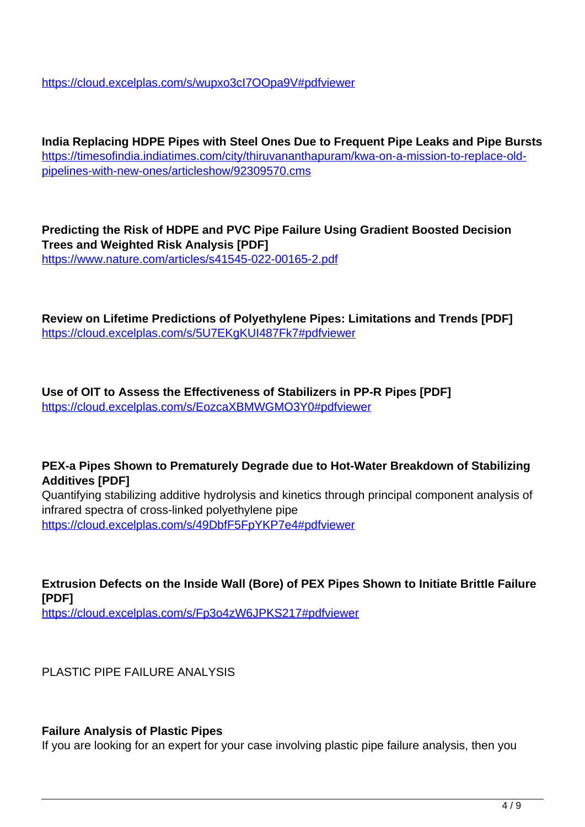https://cloud.excelplas.com/s/wupxo3cI7OOpa9V#pdfviewer

**India Replacing HDPE Pipes with Steel Ones Due to Frequent Pipe Leaks and Pipe Bursts** https://timesofindia.indiatimes.com/city/thiruvananthapuram/kwa-on-a-mission-to-replace-oldpipelines-with-new-ones/articleshow/92309570.cms

**Predicting the Risk of HDPE and PVC Pipe Failure Using Gradient Boosted Decision Trees and Weighted Risk Analysis [PDF]** https://www.nature.com/articles/s41545-022-00165-2.pdf

**Review on Lifetime Predictions of Polyethylene Pipes: Limitations and Trends [PDF]** https://cloud.excelplas.com/s/5U7EKgKUI487Fk7#pdfviewer

**Use of OIT to Assess the Effectiveness of Stabilizers in PP-R Pipes [PDF]** https://cloud.excelplas.com/s/EozcaXBMWGMO3Y0#pdfviewer

#### **PEX-a Pipes Shown to Prematurely Degrade due to Hot-Water Breakdown of Stabilizing Additives [PDF]**

Quantifying stabilizing additive hydrolysis and kinetics through principal component analysis of infrared spectra of cross-linked polyethylene pipe https://cloud.excelplas.com/s/49DbfF5FpYKP7e4#pdfviewer

**Extrusion Defects on the Inside Wall (Bore) of PEX Pipes Shown to Initiate Brittle Failure [PDF]**

https://cloud.excelplas.com/s/Fp3o4zW6JPKS217#pdfviewer

PLASTIC PIPE FAILURE ANALYSIS

#### **Failure Analysis of Plastic Pipes**

If you are looking for an expert for your case involving plastic pipe failure analysis, then you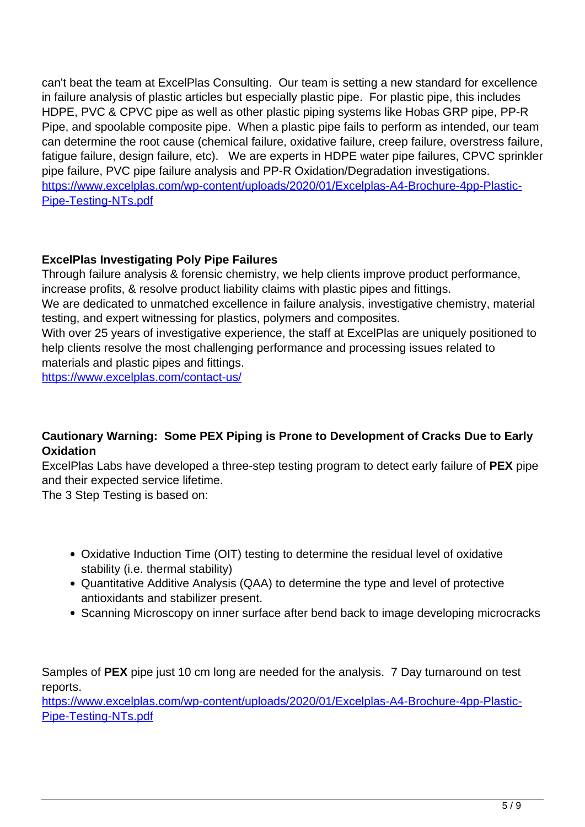can't beat the team at ExcelPlas Consulting. Our team is setting a new standard for excellence in failure analysis of plastic articles but especially plastic pipe. For plastic pipe, this includes HDPE, PVC & CPVC pipe as well as other plastic piping systems like Hobas GRP pipe, PP-R Pipe, and spoolable composite pipe. When a plastic pipe fails to perform as intended, our team can determine the root cause (chemical failure, oxidative failure, creep failure, overstress failure, fatigue failure, design failure, etc). We are experts in HDPE water pipe failures, CPVC sprinkler pipe failure, PVC pipe failure analysis and PP-R Oxidation/Degradation investigations. https://www.excelplas.com/wp-content/uploads/2020/01/Excelplas-A4-Brochure-4pp-Plastic-Pipe-Testing-NTs.pdf

## **ExcelPlas Investigating Poly Pipe Failures**

Through failure analysis & forensic chemistry, we help clients improve product performance, increase profits, & resolve product liability claims with plastic pipes and fittings.

We are dedicated to unmatched excellence in failure analysis, investigative chemistry, material testing, and expert witnessing for plastics, polymers and composites.

With over 25 years of investigative experience, the staff at ExcelPlas are uniquely positioned to help clients resolve the most challenging performance and processing issues related to materials and plastic pipes and fittings.

https://www.excelplas.com/contact-us/

## **Cautionary Warning: Some PEX Piping is Prone to Development of Cracks Due to Early Oxidation**

ExcelPlas Labs have developed a three-step testing program to detect early failure of **PEX** pipe and their expected service lifetime.

The 3 Step Testing is based on:

- Oxidative Induction Time (OIT) testing to determine the residual level of oxidative stability (i.e. thermal stability)
- Quantitative Additive Analysis (QAA) to determine the type and level of protective antioxidants and stabilizer present.
- Scanning Microscopy on inner surface after bend back to image developing microcracks

Samples of **PEX** pipe just 10 cm long are needed for the analysis. 7 Day turnaround on test reports.

https://www.excelplas.com/wp-content/uploads/2020/01/Excelplas-A4-Brochure-4pp-Plastic-Pipe-Testing-NTs.pdf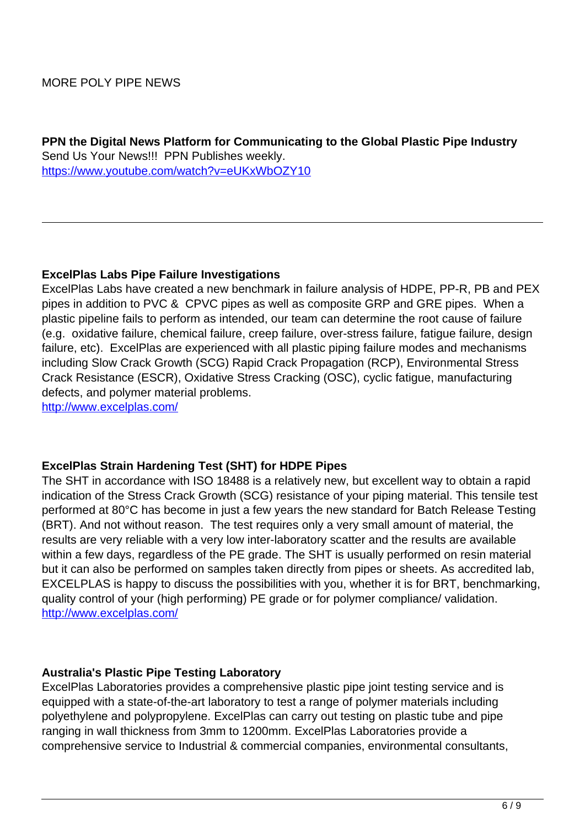### MORE POLY PIPE NEWS

**PPN the Digital News Platform for Communicating to the Global Plastic Pipe Industry** Send Us Your News!!! PPN Publishes weekly. https://www.youtube.com/watch?v=eUKxWbOZY10

#### **ExcelPlas Labs Pipe Failure Investigations**

ExcelPlas Labs have created a new benchmark in failure analysis of HDPE, PP-R, PB and PEX pipes in addition to PVC & CPVC pipes as well as composite GRP and GRE pipes. When a plastic pipeline fails to perform as intended, our team can determine the root cause of failure (e.g. oxidative failure, chemical failure, creep failure, over-stress failure, fatigue failure, design failure, etc). ExcelPlas are experienced with all plastic piping failure modes and mechanisms including Slow Crack Growth (SCG) Rapid Crack Propagation (RCP), Environmental Stress Crack Resistance (ESCR), Oxidative Stress Cracking (OSC), cyclic fatigue, manufacturing defects, and polymer material problems.

http://www.excelplas.com/

#### **ExcelPlas Strain Hardening Test (SHT) for HDPE Pipes**

The SHT in accordance with ISO 18488 is a relatively new, but excellent way to obtain a rapid indication of the Stress Crack Growth (SCG) resistance of your piping material. This tensile test performed at 80°C has become in just a few years the new standard for Batch Release Testing (BRT). And not without reason. The test requires only a very small amount of material, the results are very reliable with a very low inter-laboratory scatter and the results are available within a few days, regardless of the PE grade. The SHT is usually performed on resin material but it can also be performed on samples taken directly from pipes or sheets. As accredited lab, EXCELPLAS is happy to discuss the possibilities with you, whether it is for BRT, benchmarking, quality control of your (high performing) PE grade or for polymer compliance/ validation. http://www.excelplas.com/

#### **Australia's Plastic Pipe Testing Laboratory**

ExcelPlas Laboratories provides a comprehensive plastic pipe joint testing service and is equipped with a state-of-the-art laboratory to test a range of polymer materials including polyethylene and polypropylene. ExcelPlas can carry out testing on plastic tube and pipe ranging in wall thickness from 3mm to 1200mm. ExcelPlas Laboratories provide a comprehensive service to Industrial & commercial companies, environmental consultants,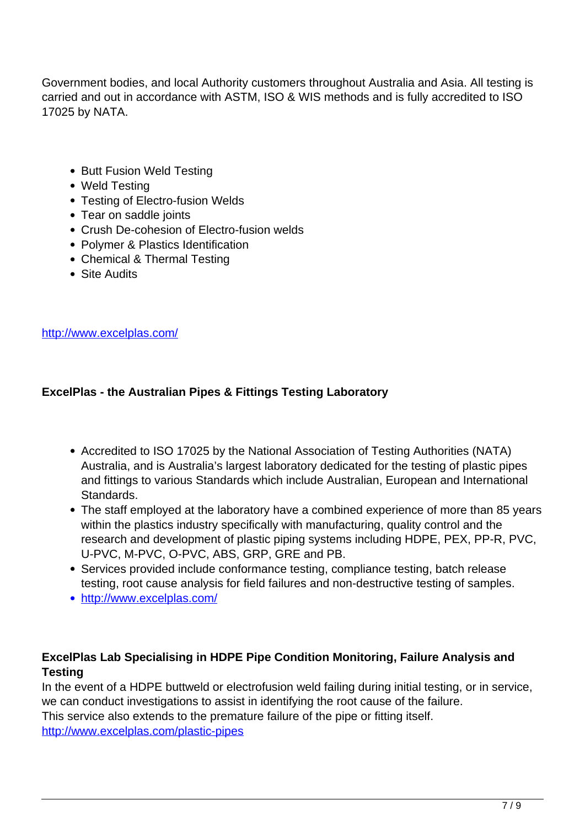Government bodies, and local Authority customers throughout Australia and Asia. All testing is carried and out in accordance with ASTM, ISO & WIS methods and is fully accredited to ISO 17025 by NATA.

- Butt Fusion Weld Testing
- Weld Testing
- Testing of Electro-fusion Welds
- Tear on saddle joints
- Crush De-cohesion of Electro-fusion welds
- Polymer & Plastics Identification
- Chemical & Thermal Testing
- Site Audits

http://www.excelplas.com/

# **ExcelPlas - the Australian Pipes & Fittings Testing Laboratory**

- Accredited to ISO 17025 by the National Association of Testing Authorities (NATA) Australia, and is Australia's largest laboratory dedicated for the testing of plastic pipes and fittings to various Standards which include Australian, European and International Standards.
- The staff employed at the laboratory have a combined experience of more than 85 years within the plastics industry specifically with manufacturing, quality control and the research and development of plastic piping systems including HDPE, PEX, PP-R, PVC, U-PVC, M-PVC, O-PVC, ABS, GRP, GRE and PB.
- Services provided include conformance testing, compliance testing, batch release testing, root cause analysis for field failures and non-destructive testing of samples.
- http://www.excelplas.com/

# **ExcelPlas Lab Specialising in HDPE Pipe Condition Monitoring, Failure Analysis and Testing**

In the event of a HDPE buttweld or electrofusion weld failing during initial testing, or in service, we can conduct investigations to assist in identifying the root cause of the failure. This service also extends to the premature failure of the pipe or fitting itself. http://www.excelplas.com/plastic-pipes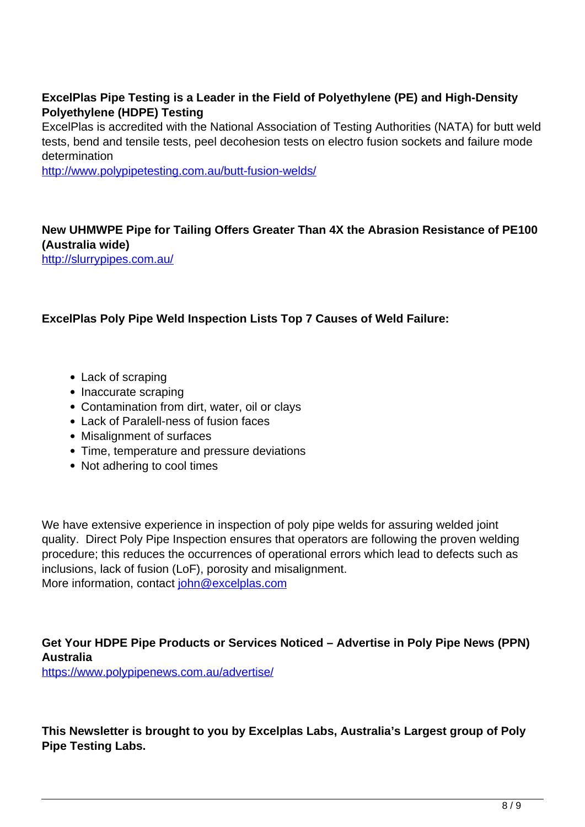# **ExcelPlas Pipe Testing is a Leader in the Field of Polyethylene (PE) and High-Density Polyethylene (HDPE) Testing**

ExcelPlas is accredited with the National Association of Testing Authorities (NATA) for butt weld tests, bend and tensile tests, peel decohesion tests on electro fusion sockets and failure mode determination

http://www.polypipetesting.com.au/butt-fusion-welds/

### **New UHMWPE Pipe for Tailing Offers Greater Than 4X the Abrasion Resistance of PE100 (Australia wide)**

http://slurrypipes.com.au/

#### **ExcelPlas Poly Pipe Weld Inspection Lists Top 7 Causes of Weld Failure:**

- Lack of scraping
- Inaccurate scraping
- Contamination from dirt, water, oil or clays
- Lack of Paralell-ness of fusion faces
- Misalignment of surfaces
- Time, temperature and pressure deviations
- Not adhering to cool times

We have extensive experience in inspection of poly pipe welds for assuring welded joint quality. Direct Poly Pipe Inspection ensures that operators are following the proven welding procedure; this reduces the occurrences of operational errors which lead to defects such as inclusions, lack of fusion (LoF), porosity and misalignment. More information, contact john@excelplas.com

### **Get Your HDPE Pipe Products or Services Noticed – Advertise in Poly Pipe News (PPN) Australia**

https://www.polypipenews.com.au/advertise/

**This Newsletter is brought to you by Excelplas Labs, Australia's Largest group of Poly Pipe Testing Labs.**